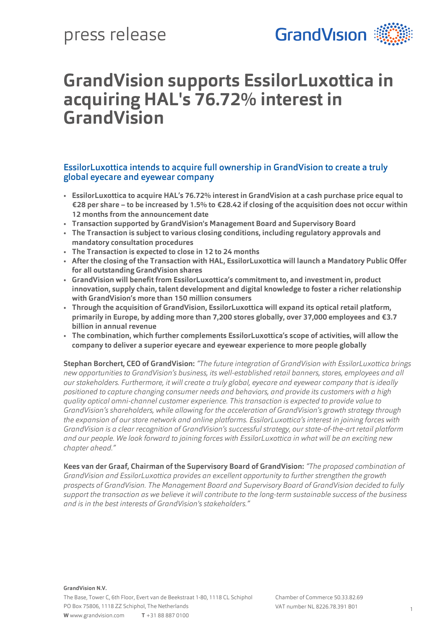

# **GrandVision supports EssilorLuxottica in acquiring HAL's 76.72% interest in GrandVision**

### EssilorLuxottica intends to acquire full ownership in GrandVision to create a truly global eyecare and eyewear company

- **EssilorLuxottica to acquire HAL's 76.72% interest in GrandVision at a cash purchase price equal to €28 per share – to be increased by 1.5% to €28.42 if closing of the acquisition does not occur within 12 months from the announcement date**
- **Transaction supported by GrandVision's Management Board and Supervisory Board**
- **The Transaction is subject to various closing conditions, including regulatory approvals and mandatory consultation procedures**
- **The Transaction is expected to close in 12 to 24 months**
- **After the closing of the Transaction with HAL, EssilorLuxottica will launch a Mandatory Public Offer for all outstanding GrandVision shares**
- **GrandVision will benefit from EssilorLuxottica's commitment to, and investment in, product innovation, supply chain, talent development and digital knowledge to foster a richer relationship with GrandVision's more than 150 million consumers**
- **Through the acquisition of GrandVision, EssilorLuxottica will expand its optical retail platform, primarily in Europe, by adding more than 7,200 stores globally, over 37,000 employees and €3.7 billion in annual revenue**
- **The combination, which further complements EssilorLuxottica's scope of activities, will allow the company to deliver a superior eyecare and eyewear experience to more people globally**

**Stephan Borchert, CEO of GrandVision:** *"The future integration of GrandVision with EssilorLuxottica brings new opportunities to GrandVision's business, its well-established retail banners, stores, employees and all our stakeholders. Furthermore, it will create a truly global, eyecare and eyewear company that is ideally positioned to capture changing consumer needs and behaviors, and provide its customers with a high quality optical omni-channel customer experience. This transaction is expected to provide value to GrandVision's shareholders, while allowing for the acceleration of GrandVision's growth strategy through the expansion of our store network and online platforms. EssilorLuxottica's interest in joining forces with GrandVision is a clear recognition of GrandVision's successful strategy, our state-of-the-art retail platform and our people. We look forward to joining forces with EssilorLuxottica in what will be an exciting new chapter ahead."*

**Kees van der Graaf, Chairman of the Supervisory Board of GrandVision:** *"The proposed combination of GrandVision and EssilorLuxottica provides an excellent opportunity to further strengthen the growth prospects of GrandVision. The Management Board and Supervisory Board of GrandVision decided to fully support the transaction as we believe it will contribute to the long-term sustainable success of the business and is in the best interests of GrandVision's stakeholders."*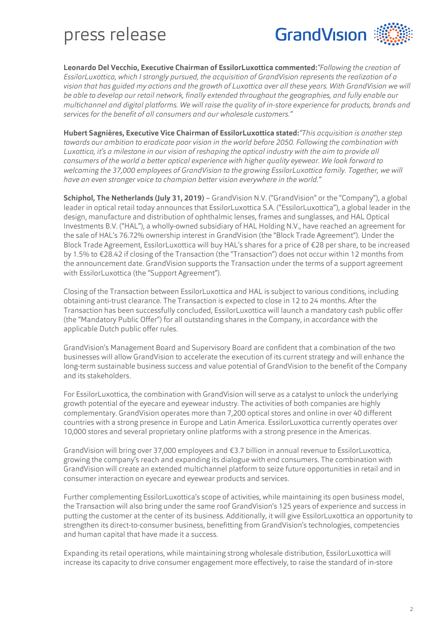

**Leonardo Del Vecchio, Executive Chairman of EssilorLuxottica commented:***"Following the creation of EssilorLuxottica, which I strongly pursued, the acquisition of GrandVision represents the realization of a vision that has guided my actions and the growth of Luxottica over all these years. With GrandVision we will be able to develop our retail network, finally extended throughout the geographies, and fully enable our multichannel and digital platforms. We will raise the quality of in-store experience for products, brands and services for the benefit of all consumers and our wholesale customers."*

**Hubert Sagnières, Executive Vice Chairman of EssilorLuxottica stated:***"This acquisition is another step towards our ambition to eradicate poor vision in the world before 2050. Following the combination with Luxottica, it's a milestone in our vision of reshaping the optical industry with the aim to provide all consumers of the world a better optical experience with higher quality eyewear. We look forward to welcoming the 37,000 employees of GrandVision to the growing EssilorLuxottica family. Together, we will have an even stronger voice to champion better vision everywhere in the world."*

**Schiphol, The Netherlands (July 31, 2019)** – GrandVision N.V. ("GrandVision" or the "Company"), a global leader in optical retail today announces that EssilorLuxottica S.A. ("EssilorLuxottica"), a global leader in the design, manufacture and distribution of ophthalmic lenses, frames and sunglasses, and HAL Optical Investments B.V. ("HAL"), a wholly-owned subsidiary of HAL Holding N.V., have reached an agreement for the sale of HAL's 76.72% ownership interest in GrandVision (the "Block Trade Agreement"). Under the Block Trade Agreement, EssilorLuxottica will buy HAL's shares for a price of €28 per share, to be increased by 1.5% to €28.42 if closing of the Transaction (the "Transaction") does not occur within 12 months from the announcement date. GrandVision supports the Transaction under the terms of a support agreement with EssilorLuxottica (the "Support Agreement").

Closing of the Transaction between EssilorLuxottica and HAL is subject to various conditions, including obtaining anti-trust clearance. The Transaction is expected to close in 12 to 24 months. After the Transaction has been successfully concluded, EssilorLuxottica will launch a mandatory cash public offer (the "Mandatory Public Offer") for all outstanding shares in the Company, in accordance with the applicable Dutch public offer rules.

GrandVision's Management Board and Supervisory Board are confident that a combination of the two businesses will allow GrandVision to accelerate the execution of its current strategy and will enhance the long-term sustainable business success and value potential of GrandVision to the benefit of the Company and its stakeholders.

For EssilorLuxottica, the combination with GrandVision will serve as a catalyst to unlock the underlying growth potential of the eyecare and eyewear industry. The activities of both companies are highly complementary. GrandVision operates more than 7,200 optical stores and online in over 40 different countries with a strong presence in Europe and Latin America. EssilorLuxottica currently operates over 10,000 stores and several proprietary online platforms with a strong presence in the Americas.

GrandVision will bring over 37,000 employees and €3.7 billion in annual revenue to EssilorLuxottica, growing the company's reach and expanding its dialogue with end consumers. The combination with GrandVision will create an extended multichannel platform to seize future opportunities in retail and in consumer interaction on eyecare and eyewear products and services.

Further complementing EssilorLuxottica's scope of activities, while maintaining its open business model, the Transaction will also bring under the same roof GrandVision's 125 years of experience and success in putting the customer at the center of its business. Additionally, it will give EssilorLuxottica an opportunity to strengthen its direct-to-consumer business, benefitting from GrandVision's technologies, competencies and human capital that have made it a success.

Expanding its retail operations, while maintaining strong wholesale distribution, EssilorLuxottica will increase its capacity to drive consumer engagement more effectively, to raise the standard of in-store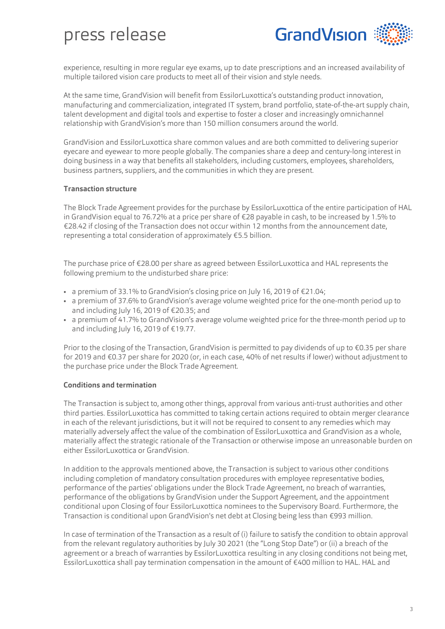

experience, resulting in more regular eye exams, up to date prescriptions and an increased availability of multiple tailored vision care products to meet all of their vision and style needs.

At the same time, GrandVision will benefit from EssilorLuxottica's outstanding product innovation, manufacturing and commercialization, integrated IT system, brand portfolio, state-of-the-art supply chain, talent development and digital tools and expertise to foster a closer and increasingly omnichannel relationship with GrandVision's more than 150 million consumers around the world.

GrandVision and EssilorLuxottica share common values and are both committed to delivering superior eyecare and eyewear to more people globally. The companies share a deep and century-long interest in doing business in a way that benefits all stakeholders, including customers, employees, shareholders, business partners, suppliers, and the communities in which they are present.

#### **Transaction structure**

The Block Trade Agreement provides for the purchase by EssilorLuxottica of the entire participation of HAL in GrandVision equal to 76.72% at a price per share of €28 payable in cash, to be increased by 1.5% to €28.42 if closing of the Transaction does not occur within 12 months from the announcement date, representing a total consideration of approximately €5.5 billion.

The purchase price of €28.00 per share as agreed between EssilorLuxottica and HAL represents the following premium to the undisturbed share price:

- a premium of 33.1% to GrandVision's closing price on July 16, 2019 of €21.04;
- a premium of 37.6% to GrandVision's average volume weighted price for the one-month period up to and including July 16, 2019 of €20.35; and
- a premium of 41.7% to GrandVision's average volume weighted price for the three-month period up to and including July 16, 2019 of €19.77.

Prior to the closing of the Transaction, GrandVision is permitted to pay dividends of up to €0.35 per share for 2019 and €0.37 per share for 2020 (or, in each case, 40% of net results if lower) without adjustment to the purchase price under the Block Trade Agreement.

#### **Conditions and termination**

The Transaction is subject to, among other things, approval from various anti-trust authorities and other third parties. EssilorLuxottica has committed to taking certain actions required to obtain merger clearance in each of the relevant jurisdictions, but it will not be required to consent to any remedies which may materially adversely affect the value of the combination of EssilorLuxottica and GrandVision as a whole, materially affect the strategic rationale of the Transaction or otherwise impose an unreasonable burden on either EssilorLuxottica or GrandVision.

In addition to the approvals mentioned above, the Transaction is subject to various other conditions including completion of mandatory consultation procedures with employee representative bodies, performance of the parties' obligations under the Block Trade Agreement, no breach of warranties, performance of the obligations by GrandVision under the Support Agreement, and the appointment conditional upon Closing of four EssilorLuxottica nominees to the Supervisory Board. Furthermore, the Transaction is conditional upon GrandVision's net debt at Closing being less than €993 million.

In case of termination of the Transaction as a result of (i) failure to satisfy the condition to obtain approval from the relevant regulatory authorities by July 30 2021 (the "Long Stop Date") or (ii) a breach of the agreement or a breach of warranties by EssilorLuxottica resulting in any closing conditions not being met, EssilorLuxottica shall pay termination compensation in the amount of €400 million to HAL. HAL and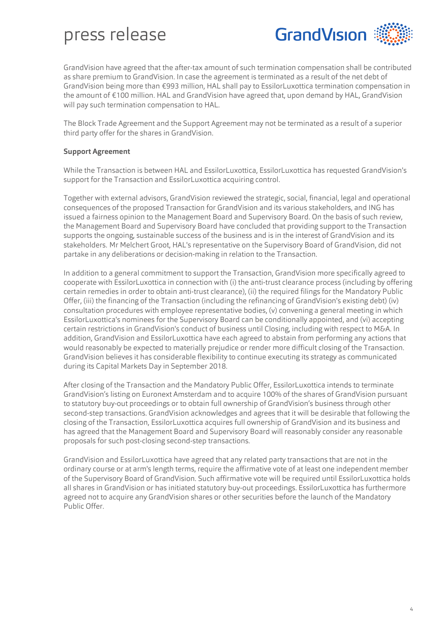

GrandVision have agreed that the after-tax amount of such termination compensation shall be contributed as share premium to GrandVision. In case the agreement is terminated as a result of the net debt of GrandVision being more than €993 million, HAL shall pay to EssilorLuxottica termination compensation in the amount of €100 million. HAL and GrandVision have agreed that, upon demand by HAL, GrandVision will pay such termination compensation to HAL.

The Block Trade Agreement and the Support Agreement may not be terminated as a result of a superior third party offer for the shares in GrandVision.

#### **Support Agreement**

While the Transaction is between HAL and EssilorLuxottica, EssilorLuxottica has requested GrandVision's support for the Transaction and EssilorLuxottica acquiring control.

Together with external advisors, GrandVision reviewed the strategic, social, financial, legal and operational consequences of the proposed Transaction for GrandVision and its various stakeholders, and ING has issued a fairness opinion to the Management Board and Supervisory Board. On the basis of such review, the Management Board and Supervisory Board have concluded that providing support to the Transaction supports the ongoing, sustainable success of the business and is in the interest of GrandVision and its stakeholders. Mr Melchert Groot, HAL's representative on the Supervisory Board of GrandVision, did not partake in any deliberations or decision-making in relation to the Transaction.

In addition to a general commitment to support the Transaction, GrandVision more specifically agreed to cooperate with EssilorLuxottica in connection with (i) the anti-trust clearance process (including by offering certain remedies in order to obtain anti-trust clearance), (ii) the required filings for the Mandatory Public Offer, (iii) the financing of the Transaction (including the refinancing of GrandVision's existing debt) (iv) consultation procedures with employee representative bodies, (v) convening a general meeting in which EssilorLuxottica's nominees for the Supervisory Board can be conditionally appointed, and (vi) accepting certain restrictions in GrandVision's conduct of business until Closing, including with respect to M&A. In addition, GrandVision and EssilorLuxottica have each agreed to abstain from performing any actions that would reasonably be expected to materially prejudice or render more difficult closing of the Transaction. GrandVision believes it has considerable flexibility to continue executing its strategy as communicated during its Capital Markets Day in September 2018.

After closing of the Transaction and the Mandatory Public Offer, EssilorLuxottica intends to terminate GrandVision's listing on Euronext Amsterdam and to acquire 100% of the shares of GrandVision pursuant to statutory buy-out proceedings or to obtain full ownership of GrandVision's business through other second-step transactions. GrandVision acknowledges and agrees that it will be desirable that following the closing of the Transaction, EssilorLuxottica acquires full ownership of GrandVision and its business and has agreed that the Management Board and Supervisory Board will reasonably consider any reasonable proposals for such post-closing second-step transactions.

GrandVision and EssilorLuxottica have agreed that any related party transactions that are not in the ordinary course or at arm's length terms, require the affirmative vote of at least one independent member of the Supervisory Board of GrandVision. Such affirmative vote will be required until EssilorLuxottica holds all shares in GrandVision or has initiated statutory buy-out proceedings. EssilorLuxottica has furthermore agreed not to acquire any GrandVision shares or other securities before the launch of the Mandatory Public Offer.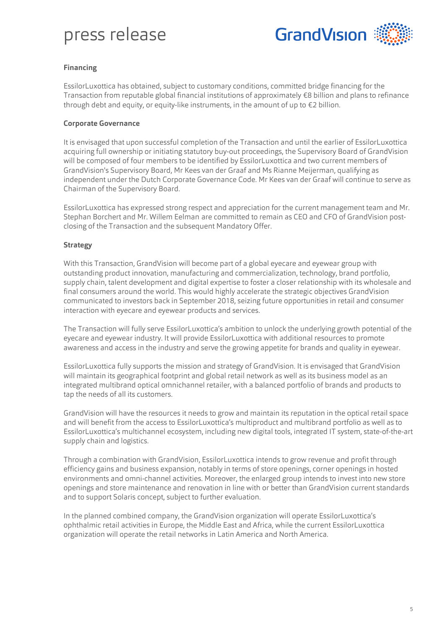

#### **Financing**

EssilorLuxottica has obtained, subject to customary conditions, committed bridge financing for the Transaction from reputable global financial institutions of approximately €8 billion and plans to refinance through debt and equity, or equity-like instruments, in the amount of up to  $\epsilon$ 2 billion.

#### **Corporate Governance**

It is envisaged that upon successful completion of the Transaction and until the earlier of EssilorLuxottica acquiring full ownership or initiating statutory buy-out proceedings, the Supervisory Board of GrandVision will be composed of four members to be identified by EssilorLuxottica and two current members of GrandVision's Supervisory Board, Mr Kees van der Graaf and Ms Rianne Meijerman, qualifying as independent under the Dutch Corporate Governance Code. Mr Kees van der Graaf will continue to serve as Chairman of the Supervisory Board.

EssilorLuxottica has expressed strong respect and appreciation for the current management team and Mr. Stephan Borchert and Mr. Willem Eelman are committed to remain as CEO and CFO of GrandVision postclosing of the Transaction and the subsequent Mandatory Offer.

#### **Strategy**

With this Transaction, GrandVision will become part of a global eyecare and eyewear group with outstanding product innovation, manufacturing and commercialization, technology, brand portfolio, supply chain, talent development and digital expertise to foster a closer relationship with its wholesale and final consumers around the world. This would highly accelerate the strategic objectives GrandVision communicated to investors back in September 2018, seizing future opportunities in retail and consumer interaction with eyecare and eyewear products and services.

The Transaction will fully serve EssilorLuxottica's ambition to unlock the underlying growth potential of the eyecare and eyewear industry. It will provide EssilorLuxottica with additional resources to promote awareness and access in the industry and serve the growing appetite for brands and quality in eyewear.

EssilorLuxottica fully supports the mission and strategy of GrandVision. It is envisaged that GrandVision will maintain its geographical footprint and global retail network as well as its business model as an integrated multibrand optical omnichannel retailer, with a balanced portfolio of brands and products to tap the needs of all its customers.

GrandVision will have the resources it needs to grow and maintain its reputation in the optical retail space and will benefit from the access to EssilorLuxottica's multiproduct and multibrand portfolio as well as to EssilorLuxottica's multichannel ecosystem, including new digital tools, integrated IT system, state-of-the-art supply chain and logistics.

Through a combination with GrandVision, EssilorLuxottica intends to grow revenue and profit through efficiency gains and business expansion, notably in terms of store openings, corner openings in hosted environments and omni-channel activities. Moreover, the enlarged group intends to invest into new store openings and store maintenance and renovation in line with or better than GrandVision current standards and to support Solaris concept, subject to further evaluation.

In the planned combined company, the GrandVision organization will operate EssilorLuxottica's ophthalmic retail activities in Europe, the Middle East and Africa, while the current EssilorLuxottica organization will operate the retail networks in Latin America and North America.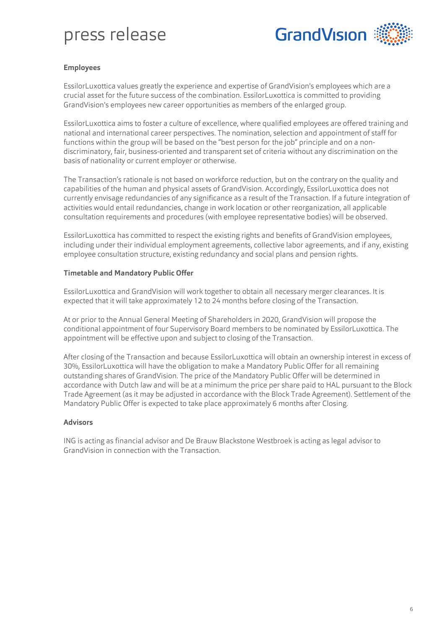

#### **Employees**

EssilorLuxottica values greatly the experience and expertise of GrandVision's employees which are a crucial asset for the future success of the combination. EssilorLuxottica is committed to providing GrandVision's employees new career opportunities as members of the enlarged group.

EssilorLuxottica aims to foster a culture of excellence, where qualified employees are offered training and national and international career perspectives. The nomination, selection and appointment of staff for functions within the group will be based on the "best person for the job" principle and on a nondiscriminatory, fair, business-oriented and transparent set of criteria without any discrimination on the basis of nationality or current employer or otherwise.

The Transaction's rationale is not based on workforce reduction, but on the contrary on the quality and capabilities of the human and physical assets of GrandVision. Accordingly, EssilorLuxottica does not currently envisage redundancies of any significance as a result of the Transaction. If a future integration of activities would entail redundancies, change in work location or other reorganization, all applicable consultation requirements and procedures (with employee representative bodies) will be observed.

EssilorLuxottica has committed to respect the existing rights and benefits of GrandVision employees, including under their individual employment agreements, collective labor agreements, and if any, existing employee consultation structure, existing redundancy and social plans and pension rights.

#### **Timetable and Mandatory Public Offer**

EssilorLuxottica and GrandVision will work together to obtain all necessary merger clearances. It is expected that it will take approximately 12 to 24 months before closing of the Transaction.

At or prior to the Annual General Meeting of Shareholders in 2020, GrandVision will propose the conditional appointment of four Supervisory Board members to be nominated by EssilorLuxottica. The appointment will be effective upon and subject to closing of the Transaction.

After closing of the Transaction and because EssilorLuxottica will obtain an ownership interest in excess of 30%, EssilorLuxottica will have the obligation to make a Mandatory Public Offer for all remaining outstanding shares of GrandVision. The price of the Mandatory Public Offer will be determined in accordance with Dutch law and will be at a minimum the price per share paid to HAL pursuant to the Block Trade Agreement (as it may be adjusted in accordance with the Block Trade Agreement). Settlement of the Mandatory Public Offer is expected to take place approximately 6 months after Closing.

#### **Advisors**

ING is acting as financial advisor and De Brauw Blackstone Westbroek is acting as legal advisor to GrandVision in connection with the Transaction.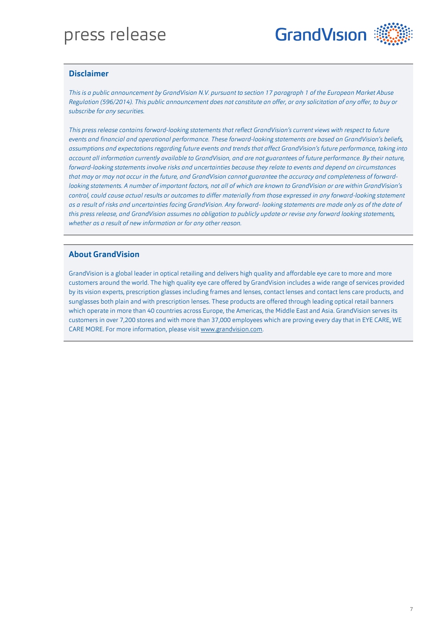

#### **Disclaimer**

*This is a public announcement by GrandVision N.V. pursuant to section 17 paragraph 1 of the European Market Abuse Regulation (596/2014). This public announcement does not constitute an offer, or any solicitation of any offer, to buy or subscribe for any securities.*

*This press release contains forward-looking statements that reflect GrandVision's current views with respect to future events and financial and operational performance. These forward-looking statements are based on GrandVision's beliefs, assumptions and expectations regarding future events and trends that affect GrandVision's future performance, taking into account all information currently available to GrandVision, and are not guarantees of future performance. By their nature, forward-looking statements involve risks and uncertainties because they relate to events and depend on circumstances that may or may not occur in the future, and GrandVision cannot guarantee the accuracy and completeness of forwardlooking statements. A number of important factors, not all of which are known to GrandVision or are within GrandVision's control, could cause actual results or outcomes to differ materially from those expressed in any forward-looking statement as a result of risks and uncertainties facing GrandVision. Any forward- looking statements are made only as of the date of this press release, and GrandVision assumes no obligation to publicly update or revise any forward looking statements, whether as a result of new information or for any other reason.*

#### **About GrandVision**

GrandVision is a global leader in optical retailing and delivers high quality and affordable eye care to more and more customers around the world. The high quality eye care offered by GrandVision includes a wide range of services provided by its vision experts, prescription glasses including frames and lenses, contact lenses and contact lens care products, and sunglasses both plain and with prescription lenses. These products are offered through leading optical retail banners which operate in more than 40 countries across Europe, the Americas, the Middle East and Asia. GrandVision serves its customers in over 7,200 stores and with more than 37,000 employees which are proving every day that in EYE CARE, WE CARE MORE. For more information, please visit www.grandvision.com.